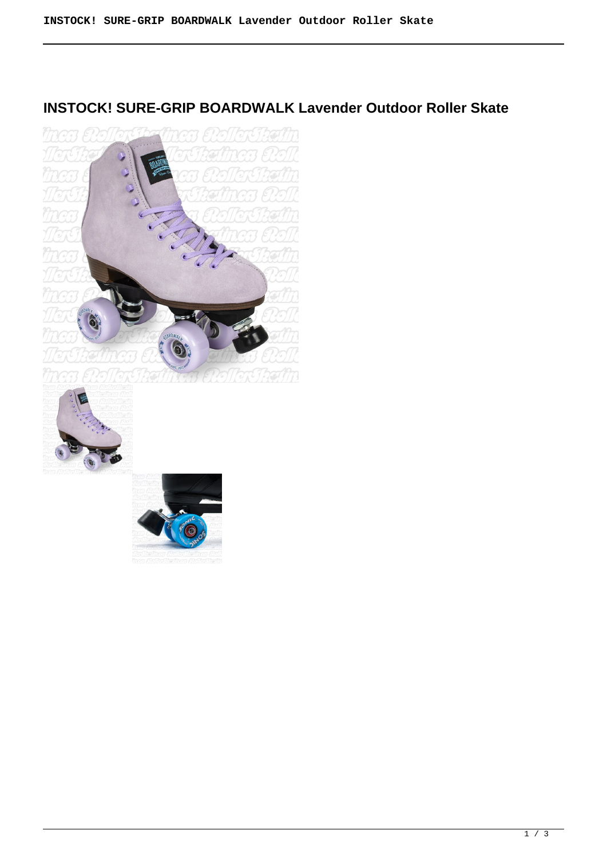## **INSTOCK! SURE-GRIP BOARDWALK Lavender Outdoor Roller Skate**





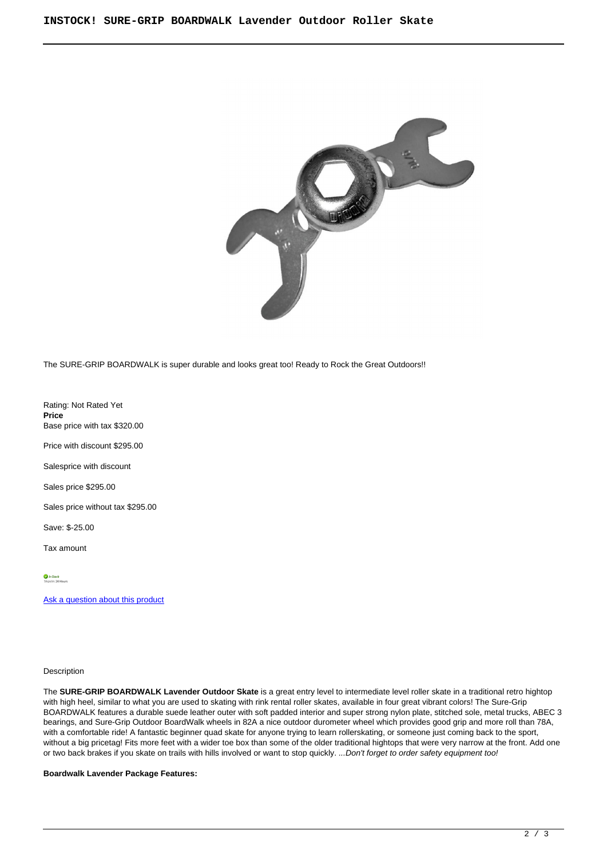

The SURE-GRIP BOARDWALK is super durable and looks great too! Ready to Rock the Great Outdoors!!

Rating: Not Rated Yet **Price**  Base price with tax \$320.00

Price with discount \$295.00

Salesprice with discount

Sales price \$295.00

Sales price without tax \$295.00

Save: \$-25.00

Tax amount

[Ask a question about this product](https://rollerskatin.ca/index.php?option=com_virtuemart&view=productdetails&task=askquestion&virtuemart_product_id=1166&virtuemart_category_id=28&tmpl=component)

## Description

The **SURE-GRIP BOARDWALK Lavender Outdoor Skate** is a great entry level to intermediate level roller skate in a traditional retro hightop with high heel, similar to what you are used to skating with rink rental roller skates, available in four great vibrant colors! The Sure-Grip BOARDWALK features a durable suede leather outer with soft padded interior and super strong nylon plate, stitched sole, metal trucks, ABEC 3 bearings, and Sure-Grip Outdoor BoardWalk wheels in 82A a nice outdoor durometer wheel which provides good grip and more roll than 78A, with a comfortable ride! A fantastic beginner quad skate for anyone trying to learn rollerskating, or someone just coming back to the sport, without a big pricetag! Fits more feet with a wider toe box than some of the older traditional hightops that were very narrow at the front. Add one or two back brakes if you skate on trails with hills involved or want to stop quickly. ...Don't forget to order safety equipment too!

**Boardwalk Lavender Package Features:**